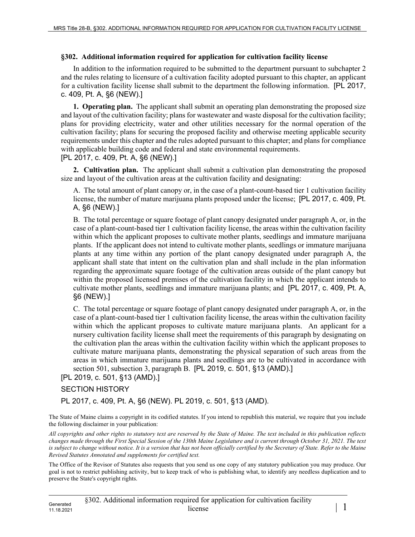## **§302. Additional information required for application for cultivation facility license**

In addition to the information required to be submitted to the department pursuant to subchapter 2 and the rules relating to licensure of a cultivation facility adopted pursuant to this chapter, an applicant for a cultivation facility license shall submit to the department the following information. [PL 2017, c. 409, Pt. A, §6 (NEW).]

**1. Operating plan.** The applicant shall submit an operating plan demonstrating the proposed size and layout of the cultivation facility; plans for wastewater and waste disposal for the cultivation facility; plans for providing electricity, water and other utilities necessary for the normal operation of the cultivation facility; plans for securing the proposed facility and otherwise meeting applicable security requirements under this chapter and the rules adopted pursuant to this chapter; and plans for compliance with applicable building code and federal and state environmental requirements. [PL 2017, c. 409, Pt. A, §6 (NEW).]

**2. Cultivation plan.** The applicant shall submit a cultivation plan demonstrating the proposed size and layout of the cultivation areas at the cultivation facility and designating:

A. The total amount of plant canopy or, in the case of a plant-count-based tier 1 cultivation facility license, the number of mature marijuana plants proposed under the license; [PL 2017, c. 409, Pt. A, §6 (NEW).]

B. The total percentage or square footage of plant canopy designated under paragraph A, or, in the case of a plant-count-based tier 1 cultivation facility license, the areas within the cultivation facility within which the applicant proposes to cultivate mother plants, seedlings and immature marijuana plants. If the applicant does not intend to cultivate mother plants, seedlings or immature marijuana plants at any time within any portion of the plant canopy designated under paragraph A, the applicant shall state that intent on the cultivation plan and shall include in the plan information regarding the approximate square footage of the cultivation areas outside of the plant canopy but within the proposed licensed premises of the cultivation facility in which the applicant intends to cultivate mother plants, seedlings and immature marijuana plants; and [PL 2017, c. 409, Pt. A, §6 (NEW).]

C. The total percentage or square footage of plant canopy designated under paragraph A, or, in the case of a plant-count-based tier 1 cultivation facility license, the areas within the cultivation facility within which the applicant proposes to cultivate mature marijuana plants. An applicant for a nursery cultivation facility license shall meet the requirements of this paragraph by designating on the cultivation plan the areas within the cultivation facility within which the applicant proposes to cultivate mature marijuana plants, demonstrating the physical separation of such areas from the areas in which immature marijuana plants and seedlings are to be cultivated in accordance with section 501, subsection 3, paragraph B. [PL 2019, c. 501, §13 (AMD).]

[PL 2019, c. 501, §13 (AMD).]

## SECTION HISTORY

PL 2017, c. 409, Pt. A, §6 (NEW). PL 2019, c. 501, §13 (AMD).

The State of Maine claims a copyright in its codified statutes. If you intend to republish this material, we require that you include the following disclaimer in your publication:

*All copyrights and other rights to statutory text are reserved by the State of Maine. The text included in this publication reflects changes made through the First Special Session of the 130th Maine Legislature and is current through October 31, 2021. The text*  is subject to change without notice. It is a version that has not been officially certified by the Secretary of State. Refer to the Maine *Revised Statutes Annotated and supplements for certified text.*

The Office of the Revisor of Statutes also requests that you send us one copy of any statutory publication you may produce. Our goal is not to restrict publishing activity, but to keep track of who is publishing what, to identify any needless duplication and to preserve the State's copyright rights.